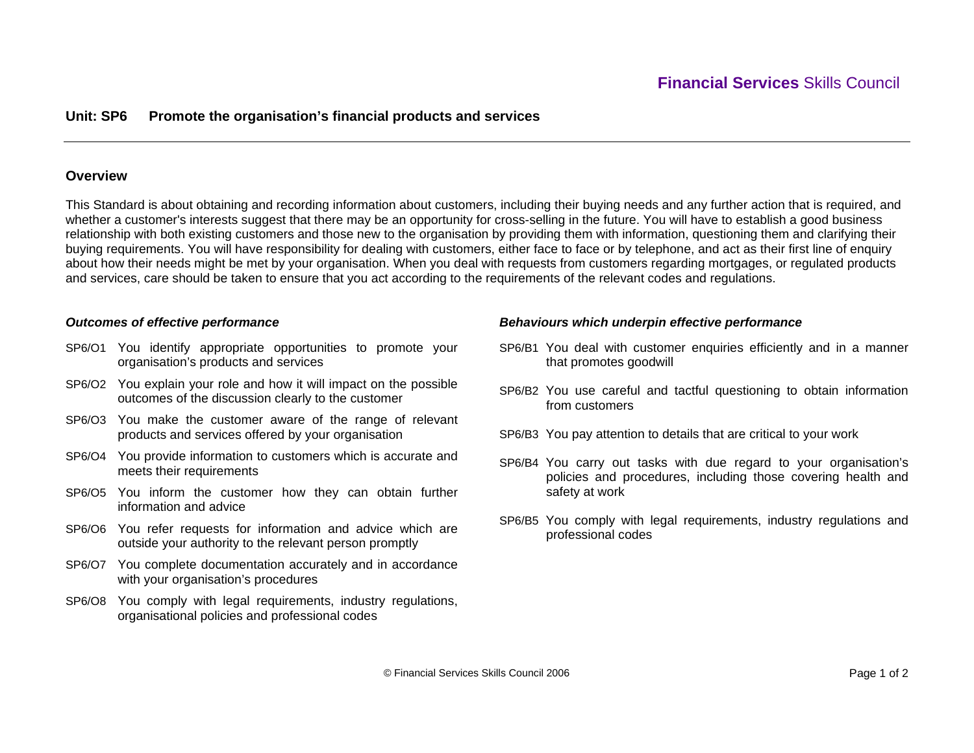## **Unit: SP6 Promote the organisation's financial products and services**

### **Overview**

This Standard is about obtaining and recording information about customers, including their buying needs and any further action that is required, and whether a customer's interests suggest that there may be an opportunity for cross-selling in the future. You will have to establish a good business relationship with both existing customers and those new to the organisation by providing them with information, questioning them and clarifying their buying requirements. You will have responsibility for dealing with customers, either face to face or by telephone, and act as their first line of enquiry about how their needs might be met by your organisation. When you deal with requests from customers regarding mortgages, or regulated products and services, care should be taken to ensure that you act according to the requirements of the relevant codes and regulations.

### *Outcomes of effective performance*

- SP6/O1 You identify appropriate opportunities to promote your organisation's products and services
- SP6/O2 You explain your role and how it will impact on the possible outcomes of the discussion clearly to the customer
- SP6/O3 You make the customer aware of the range of relevant products and services offered by your organisation
- SP6/O4 You provide information to customers which is accurate and meets their requirements
- SP6/O5 You inform the customer how they can obtain further information and advice
- SP6/O6 You refer requests for information and advice which are outside your authority to the relevant person promptly
- SP6/O7 You complete documentation accurately and in accordance with your organisation's procedures
- SP6/O8 You comply with legal requirements, industry regulations, organisational policies and professional codes

#### *Behaviours which underpin effective performance*

- SP6/B1 You deal with customer enquiries efficiently and in a manner that promotes goodwill
- SP6/B2 You use careful and tactful questioning to obtain information from customers
- SP6/B3 You pay attention to details that are critical to your work
- SP6/B4 You carry out tasks with due regard to your organisation's policies and procedures, including those covering health and safety at work
- SP6/B5 You comply with legal requirements, industry regulations and professional codes